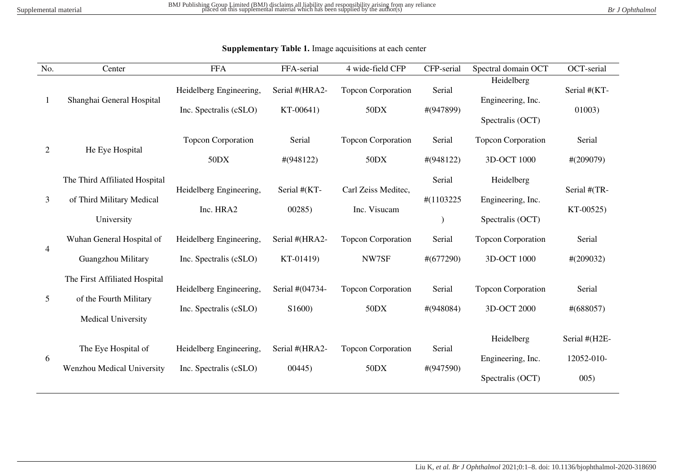| No.            | Center                                                                        | <b>FFA</b>                                        | FFA-serial                  | 4 wide-field CFP                    | CFP-serial              | Spectral domain OCT                                 | OCT-serial                          |
|----------------|-------------------------------------------------------------------------------|---------------------------------------------------|-----------------------------|-------------------------------------|-------------------------|-----------------------------------------------------|-------------------------------------|
| 1              | Shanghai General Hospital                                                     | Heidelberg Engineering,<br>Inc. Spectralis (cSLO) | Serial #(HRA2-<br>KT-00641) | <b>Topcon Corporation</b><br>50DX   | Serial<br>#(947899)     | Heidelberg<br>Engineering, Inc.<br>Spectralis (OCT) | Serial #(KT-<br>01003)              |
| $\overline{2}$ | He Eye Hospital                                                               | Topcon Corporation<br>50DX                        | Serial<br>$\#(948122)$      | <b>Topcon Corporation</b><br>50DX   | Serial<br>#(948122)     | <b>Topcon Corporation</b><br>3D-OCT 1000            | Serial<br>$\#(209079)$              |
| 3              | The Third Affiliated Hospital<br>of Third Military Medical<br>University      | Heidelberg Engineering,<br>Inc. HRA2              | Serial #(KT-<br>00285)      | Carl Zeiss Meditec,<br>Inc. Visucam | Serial<br>#(1103225)    | Heidelberg<br>Engineering, Inc.<br>Spectralis (OCT) | Serial #(TR-<br>KT-00525)           |
| 4              | Wuhan General Hospital of<br>Guangzhou Military                               | Heidelberg Engineering,<br>Inc. Spectralis (cSLO) | Serial #(HRA2-<br>KT-01419) | <b>Topcon Corporation</b><br>NW7SF  | Serial<br>$\# (677290)$ | <b>Topcon Corporation</b><br>3D-OCT 1000            | Serial<br>$\#(209032)$              |
| 5              | The First Affiliated Hospital<br>of the Fourth Military<br>Medical University | Heidelberg Engineering,<br>Inc. Spectralis (cSLO) | Serial #(04734-<br>S1600)   | <b>Topcon Corporation</b><br>50DX   | Serial<br>#(948084)     | <b>Topcon Corporation</b><br>3D-OCT 2000            | Serial<br>$\#(688057)$              |
| 6              | The Eye Hospital of<br>Wenzhou Medical University                             | Heidelberg Engineering,<br>Inc. Spectralis (cSLO) | Serial #(HRA2-<br>00445     | <b>Topcon Corporation</b><br>50DX   | Serial<br>#(947590)     | Heidelberg<br>Engineering, Inc.<br>Spectralis (OCT) | Serial #(H2E-<br>12052-010-<br>005) |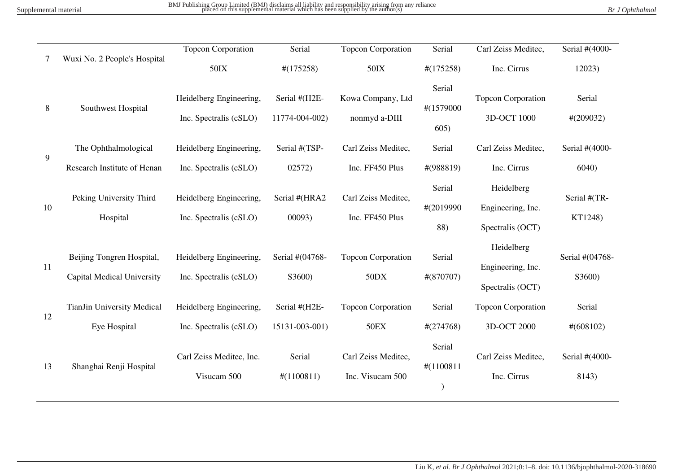BMJ Publishing Group Limited (BMJ) disclaims all liability and responsibility arising from any reliance<br>placed on this supplemental material which has been supplied by the author(s) Br and the material material which has b

|  |  | Br J Ophthalmol |
|--|--|-----------------|
|  |  |                 |

|    |                                                                | <b>Topcon Corporation</b>                         | Serial                          | <b>Topcon Corporation</b>                | Serial                      | Carl Zeiss Meditec,                                 | Serial #(4000-            |
|----|----------------------------------------------------------------|---------------------------------------------------|---------------------------------|------------------------------------------|-----------------------------|-----------------------------------------------------|---------------------------|
|    | Wuxi No. 2 People's Hospital                                   | 50IX                                              | $\#(175258)$                    | $50$ IX                                  | $\#(175258)$                | Inc. Cirrus                                         | 12023)                    |
| 8  | Southwest Hospital                                             | Heidelberg Engineering,<br>Inc. Spectralis (cSLO) | Serial #(H2E-<br>11774-004-002) | Kowa Company, Ltd<br>nonmyd a-DIII       | Serial<br>#(1579000<br>605) | <b>Topcon Corporation</b><br>3D-OCT 1000            | Serial<br>$\#(209032)$    |
|    | The Ophthalmological                                           | Heidelberg Engineering,                           | Serial #(TSP-                   | Carl Zeiss Meditec,                      | Serial                      | Carl Zeiss Meditec,                                 | Serial #(4000-            |
| 9  | Research Institute of Henan                                    | Inc. Spectralis (cSLO)                            | 02572)                          | Inc. FF450 Plus                          | $\#(988819)$                | Inc. Cirrus                                         | 6040                      |
| 10 | Peking University Third<br>Hospital                            | Heidelberg Engineering,<br>Inc. Spectralis (cSLO) | Serial #(HRA2<br>00093)         | Carl Zeiss Meditec,<br>Inc. FF450 Plus   | Serial<br>#(2019990<br>88)  | Heidelberg<br>Engineering, Inc.<br>Spectralis (OCT) | Serial #(TR-<br>KT1248)   |
| 11 | Beijing Tongren Hospital,<br><b>Capital Medical University</b> | Heidelberg Engineering,<br>Inc. Spectralis (cSLO) | Serial #(04768-<br>S3600)       | <b>Topcon Corporation</b><br>50DX        | Serial<br>$\#(870707)$      | Heidelberg<br>Engineering, Inc.<br>Spectralis (OCT) | Serial #(04768-<br>S3600) |
| 12 | <b>TianJin University Medical</b><br>Eye Hospital              | Heidelberg Engineering,<br>Inc. Spectralis (cSLO) | Serial #(H2E-<br>15131-003-001) | <b>Topcon Corporation</b><br><b>50EX</b> | Serial<br>$\#(274768)$      | <b>Topcon Corporation</b><br>3D-OCT 2000            | Serial<br>$\# (608102)$   |
| 13 | Shanghai Renji Hospital                                        | Carl Zeiss Meditec, Inc.<br>Visucam 500           | Serial<br>#(1100811)            | Carl Zeiss Meditec,<br>Inc. Visucam 500  | Serial<br>#(1100811         | Carl Zeiss Meditec,<br>Inc. Cirrus                  | Serial #(4000-<br>8143)   |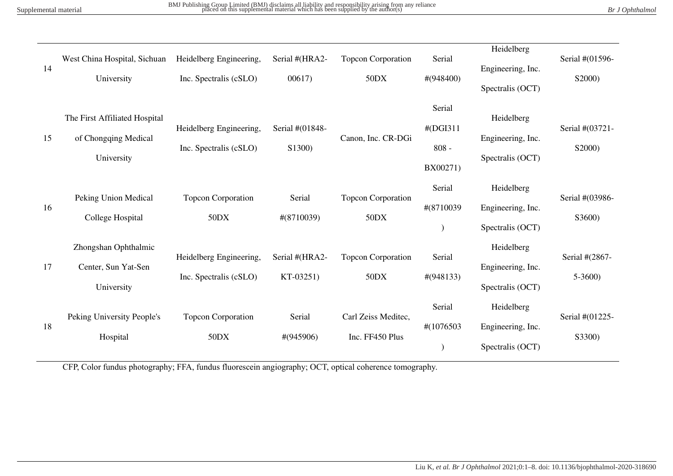| 14 | West China Hospital, Sichuan<br>University                          | Heidelberg Engineering,<br>Inc. Spectralis (cSLO) | Serial #(HRA2-<br>00617     | <b>Topcon Corporation</b><br>50DX      | Serial<br>$\#(948400)$                    | Heidelberg<br>Engineering, Inc.<br>Spectralis (OCT) | Serial #(01596-<br>S2000)  |
|----|---------------------------------------------------------------------|---------------------------------------------------|-----------------------------|----------------------------------------|-------------------------------------------|-----------------------------------------------------|----------------------------|
| 15 | The First Affiliated Hospital<br>of Chongqing Medical<br>University | Heidelberg Engineering,<br>Inc. Spectralis (cSLO) | Serial #(01848-<br>S1300)   | Canon, Inc. CR-DGi                     | Serial<br>#(DGI311<br>$808 -$<br>BX00271) | Heidelberg<br>Engineering, Inc.<br>Spectralis (OCT) | Serial #(03721-<br>S2000)  |
| 16 | Peking Union Medical<br>College Hospital                            | <b>Topcon Corporation</b><br>50DX                 | Serial<br>$\#(8710039)$     | <b>Topcon Corporation</b><br>50DX      | Serial<br>#(8710039                       | Heidelberg<br>Engineering, Inc.<br>Spectralis (OCT) | Serial #(03986-<br>S3600)  |
| 17 | Zhongshan Ophthalmic<br>Center, Sun Yat-Sen<br>University           | Heidelberg Engineering,<br>Inc. Spectralis (cSLO) | Serial #(HRA2-<br>KT-03251) | <b>Topcon Corporation</b><br>50DX      | Serial<br>$\#(948133)$                    | Heidelberg<br>Engineering, Inc.<br>Spectralis (OCT) | Serial #(2867-<br>$5-3600$ |
| 18 | Peking University People's<br>Hospital                              | <b>Topcon Corporation</b><br>50DX                 | Serial<br>$\#(945906)$      | Carl Zeiss Meditec,<br>Inc. FF450 Plus | Serial<br>#(1076503                       | Heidelberg<br>Engineering, Inc.<br>Spectralis (OCT) | Serial #(01225-<br>S3300)  |

CFP, Color fundus photography; FFA, fundus fluorescein angiography; OCT, optical coherence tomography.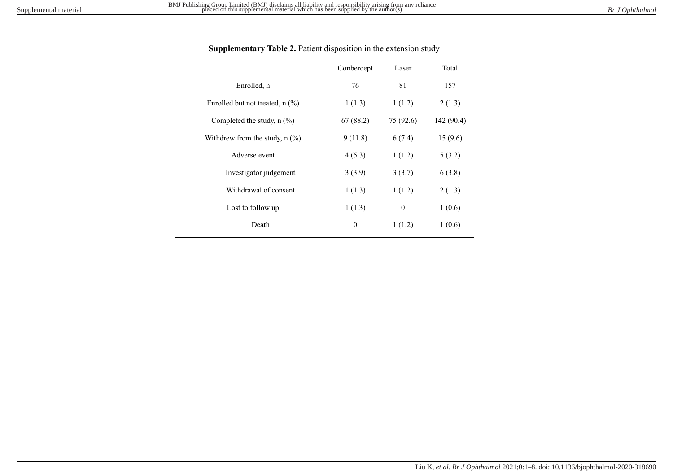|                                   | Conbercept       | Laser            | Total      |
|-----------------------------------|------------------|------------------|------------|
| Enrolled, n                       | 76               | 81               | 157        |
| Enrolled but not treated, $n$ (%) | 1(1.3)           | 1(1.2)           | 2(1.3)     |
| Completed the study, $n$ (%)      | 67(88.2)         | 75 (92.6)        | 142 (90.4) |
| Withdrew from the study, $n$ (%)  | 9(11.8)          | 6(7.4)           | 15(9.6)    |
| Adverse event                     | 4(5.3)           | 1(1.2)           | 5(3.2)     |
| Investigator judgement            | 3(3.9)           | 3(3.7)           | 6(3.8)     |
| Withdrawal of consent             | 1(1.3)           | 1(1.2)           | 2(1.3)     |
| Lost to follow up                 | 1(1.3)           | $\boldsymbol{0}$ | 1(0.6)     |
| Death                             | $\boldsymbol{0}$ | 1(1.2)           | 1(0.6)     |

## **Supplementary Table 2.** Patient disposition in the extension study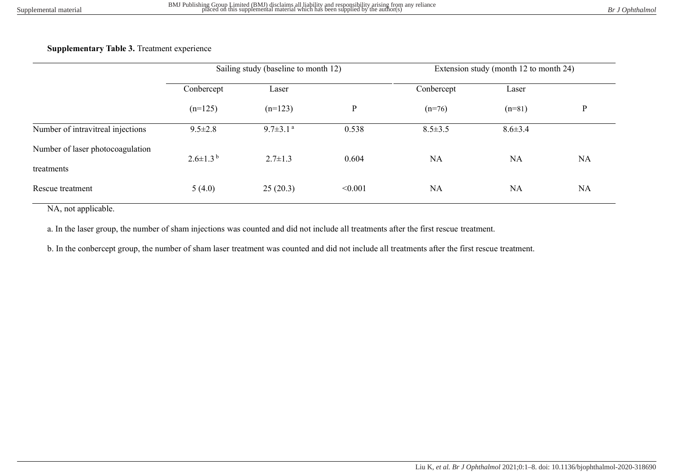| <b>Supplementary Table 3. Treatment experience</b> |  |  |  |
|----------------------------------------------------|--|--|--|
|----------------------------------------------------|--|--|--|

|                                   | Sailing study (baseline to month 12) |                            |         | Extension study (month 12 to month 24) |               |           |
|-----------------------------------|--------------------------------------|----------------------------|---------|----------------------------------------|---------------|-----------|
|                                   | Conbercept                           | Laser                      |         | Conbercept                             | Laser         |           |
|                                   | $(n=125)$                            | $(n=123)$                  | P       | $(n=76)$                               | $(n=81)$      | P         |
| Number of intravitreal injections | $9.5 \pm 2.8$                        | $9.7 \pm 3.1$ <sup>a</sup> | 0.538   | $8.5 \pm 3.5$                          | $8.6 \pm 3.4$ |           |
| Number of laser photocoagulation  | $2.6 \pm 1.3^{\mathrm{b}}$           | $2.7 \pm 1.3$              | 0.604   | <b>NA</b>                              | <b>NA</b>     | NA        |
| treatments                        |                                      |                            |         |                                        |               |           |
| Rescue treatment                  | 5(4.0)                               | 25(20.3)                   | < 0.001 | <b>NA</b>                              | <b>NA</b>     | <b>NA</b> |

NA, not applicable.

a. In the laser group, the number of sham injections was counted and did not include all treatments after the first rescue treatment.

b. In the conbercept group, the number of sham laser treatment was counted and did not include all treatments after the first rescue treatment.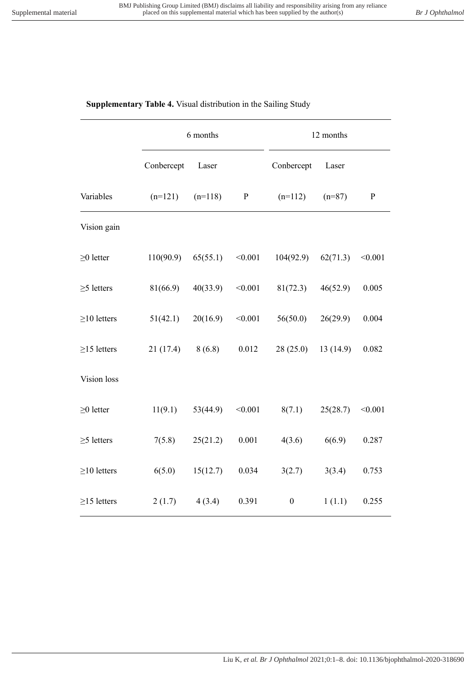# **Supplementary Table 4.** Visual distribution in the Sailing Study

|                   | 6 months   |           |           | 12 months        |          |           |  |
|-------------------|------------|-----------|-----------|------------------|----------|-----------|--|
|                   | Conbercept | Laser     |           | Conbercept       | Laser    |           |  |
| Variables         | $(n=121)$  | $(n=118)$ | ${\bf P}$ | $(n=112)$        | $(n=87)$ | ${\bf P}$ |  |
| Vision gain       |            |           |           |                  |          |           |  |
| $\geq$ 0 letter   | 110(90.9)  | 65(55.1)  | < 0.001   | 104(92.9)        | 62(71.3) | < 0.001   |  |
| $\geq$ 5 letters  | 81(66.9)   | 40(33.9)  | < 0.001   | 81(72.3)         | 46(52.9) | 0.005     |  |
| $\geq$ 10 letters | 51(42.1)   | 20(16.9)  | < 0.001   | 56(50.0)         | 26(29.9) | 0.004     |  |
| $\geq$ 15 letters | 21(17.4)   | 8(6.8)    | 0.012     | 28(25.0)         | 13(14.9) | 0.082     |  |
| Vision loss       |            |           |           |                  |          |           |  |
| $\geq$ 0 letter   | 11(9.1)    | 53(44.9)  | < 0.001   | 8(7.1)           | 25(28.7) | < 0.001   |  |
| $\geq$ 5 letters  | 7(5.8)     | 25(21.2)  | 0.001     | 4(3.6)           | 6(6.9)   | 0.287     |  |
| $\geq$ 10 letters | 6(5.0)     | 15(12.7)  | 0.034     | 3(2.7)           | 3(3.4)   | 0.753     |  |
| $\geq$ 15 letters | 2(1.7)     | 4(3.4)    | 0.391     | $\boldsymbol{0}$ | 1(1.1)   | 0.255     |  |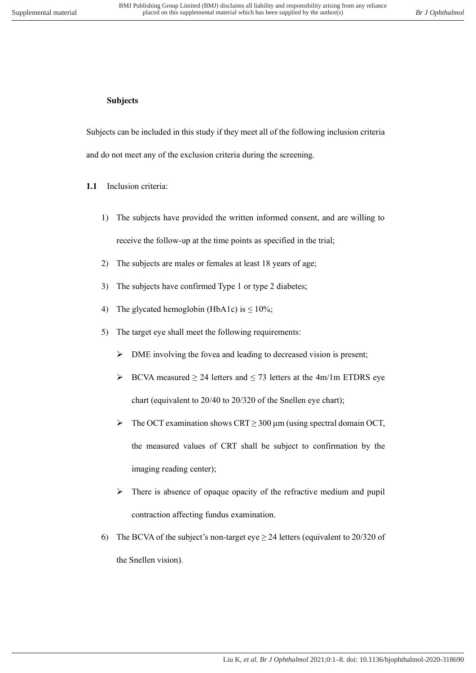## **Subjects**

Subjects can be included in this study if they meet all of the following inclusion criteria and do not meet any of the exclusion criteria during the screening.

- **1.1** Inclusion criteria:
	- 1) The subjects have provided the written informed consent, and are willing to receive the follow-up at the time points as specified in the trial;
	- 2) The subjects are males or females at least 18 years of age;
	- 3) The subjects have confirmed Type 1 or type 2 diabetes;
	- 4) The glycated hemoglobin (HbA1c) is  $\leq 10\%$ ;
	- 5) The target eye shall meet the following requirements:
		- ➢ DME involving the fovea and leading to decreased vision is present;
		- ➢ BCVA measured ≥ 24 letters and ≤ 73 letters at the 4m/1m ETDRS eye chart (equivalent to 20/40 to 20/320 of the Snellen eye chart);
		- $\triangleright$  The OCT examination shows CRT  $\geq$  300 µm (using spectral domain OCT, the measured values of CRT shall be subject to confirmation by the imaging reading center);
		- ➢ There is absence of opaque opacity of the refractive medium and pupil contraction affecting fundus examination.
	- 6) The BCVA of the subject's non-target eye  $\geq$  24 letters (equivalent to 20/320 of the Snellen vision).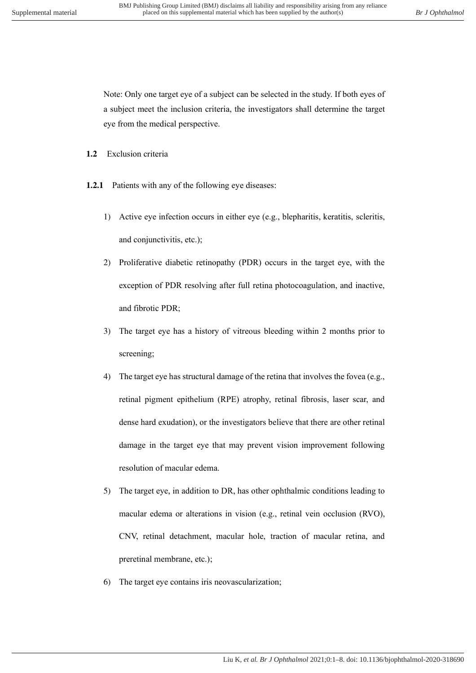Note: Only one target eye of a subject can be selected in the study. If both eyes of a subject meet the inclusion criteria, the investigators shall determine the target eye from the medical perspective.

- **1.2** Exclusion criteria
- **1.2.1** Patients with any of the following eye diseases:
	- 1) Active eye infection occurs in either eye (e.g., blepharitis, keratitis, scleritis, and conjunctivitis, etc.);
	- 2) Proliferative diabetic retinopathy (PDR) occurs in the target eye, with the exception of PDR resolving after full retina photocoagulation, and inactive, and fibrotic PDR;
	- 3) The target eye has a history of vitreous bleeding within 2 months prior to screening;
	- 4) The target eye has structural damage of the retina that involves the fovea (e.g., retinal pigment epithelium (RPE) atrophy, retinal fibrosis, laser scar, and dense hard exudation), or the investigators believe that there are other retinal damage in the target eye that may prevent vision improvement following resolution of macular edema.
	- 5) The target eye, in addition to DR, has other ophthalmic conditions leading to macular edema or alterations in vision (e.g., retinal vein occlusion (RVO), CNV, retinal detachment, macular hole, traction of macular retina, and preretinal membrane, etc.);
	- 6) The target eye contains iris neovascularization;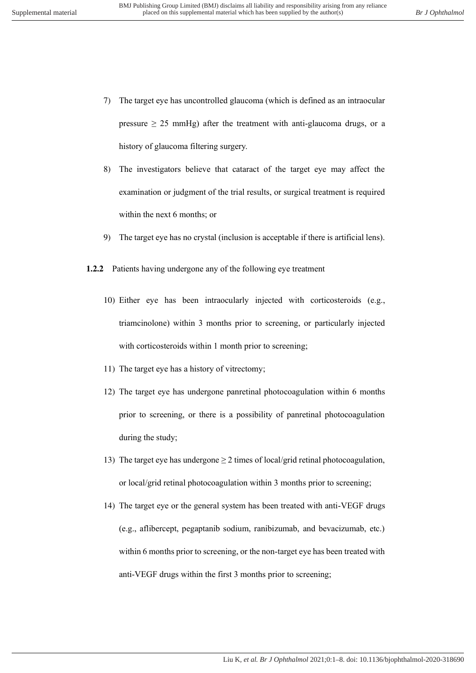- 7) The target eye has uncontrolled glaucoma (which is defined as an intraocular pressure  $\geq 25$  mmHg) after the treatment with anti-glaucoma drugs, or a history of glaucoma filtering surgery.
- 8) The investigators believe that cataract of the target eye may affect the examination or judgment of the trial results, or surgical treatment is required within the next 6 months; or
- 9) The target eye has no crystal (inclusion is acceptable if there is artificial lens).
- **1.2.2** Patients having undergone any of the following eye treatment
	- 10) Either eye has been intraocularly injected with corticosteroids (e.g., triamcinolone) within 3 months prior to screening, or particularly injected with corticosteroids within 1 month prior to screening;
	- 11) The target eye has a history of vitrectomy;
	- 12) The target eye has undergone panretinal photocoagulation within 6 months prior to screening, or there is a possibility of panretinal photocoagulation during the study;
	- 13) The target eye has undergone  $\geq 2$  times of local/grid retinal photocoagulation, or local/grid retinal photocoagulation within 3 months prior to screening;
	- 14) The target eye or the general system has been treated with anti-VEGF drugs (e.g., aflibercept, pegaptanib sodium, ranibizumab, and bevacizumab, etc.) within 6 months prior to screening, or the non-target eye has been treated with anti-VEGF drugs within the first 3 months prior to screening;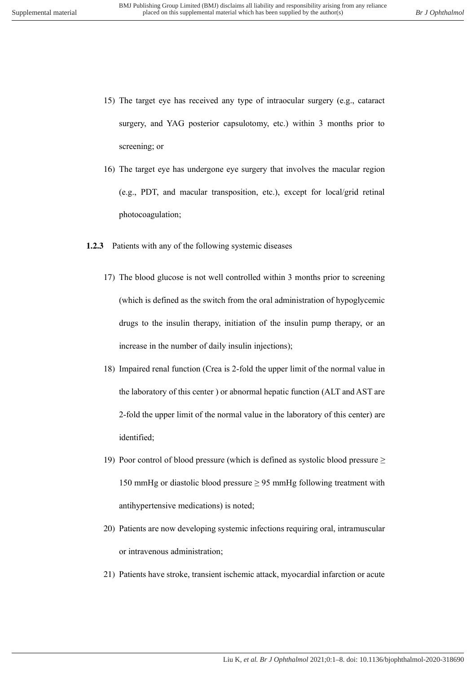- 15) The target eye has received any type of intraocular surgery (e.g., cataract surgery, and YAG posterior capsulotomy, etc.) within 3 months prior to screening; or
- 16) The target eye has undergone eye surgery that involves the macular region (e.g., PDT, and macular transposition, etc.), except for local/grid retinal photocoagulation;
- **1.2.3** Patients with any of the following systemic diseases
	- 17) The blood glucose is not well controlled within 3 months prior to screening (which is defined as the switch from the oral administration of hypoglycemic drugs to the insulin therapy, initiation of the insulin pump therapy, or an increase in the number of daily insulin injections);
	- 18) Impaired renal function (Crea is 2-fold the upper limit of the normal value in the laboratory of this center ) or abnormal hepatic function (ALT and AST are 2-fold the upper limit of the normal value in the laboratory of this center) are identified;
	- 19) Poor control of blood pressure (which is defined as systolic blood pressure  $\geq$ 150 mmHg or diastolic blood pressure ≥ 95 mmHg following treatment with antihypertensive medications) is noted;
	- 20) Patients are now developing systemic infections requiring oral, intramuscular or intravenous administration;
	- 21) Patients have stroke, transient ischemic attack, myocardial infarction or acute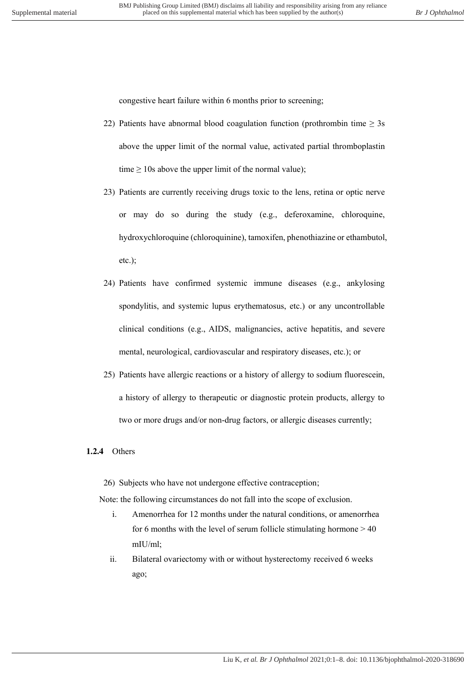congestive heart failure within 6 months prior to screening;

- 22) Patients have abnormal blood coagulation function (prothrombin time  $\geq 3s$ above the upper limit of the normal value, activated partial thromboplastin time  $\geq 10$ s above the upper limit of the normal value);
- 23) Patients are currently receiving drugs toxic to the lens, retina or optic nerve or may do so during the study (e.g., deferoxamine, chloroquine, hydroxychloroquine (chloroquinine), tamoxifen, phenothiazine or ethambutol, etc.);
- 24) Patients have confirmed systemic immune diseases (e.g., ankylosing spondylitis, and systemic lupus erythematosus, etc.) or any uncontrollable clinical conditions (e.g., AIDS, malignancies, active hepatitis, and severe mental, neurological, cardiovascular and respiratory diseases, etc.); or
- 25) Patients have allergic reactions or a history of allergy to sodium fluorescein, a history of allergy to therapeutic or diagnostic protein products, allergy to two or more drugs and/or non-drug factors, or allergic diseases currently;

### **1.2.4** Others

26) Subjects who have not undergone effective contraception;

Note: the following circumstances do not fall into the scope of exclusion.

- i. Amenorrhea for 12 months under the natural conditions, or amenorrhea for 6 months with the level of serum follicle stimulating hormone  $> 40$ mIU/ml;
- ii. Bilateral ovariectomy with or without hysterectomy received 6 weeks ago;